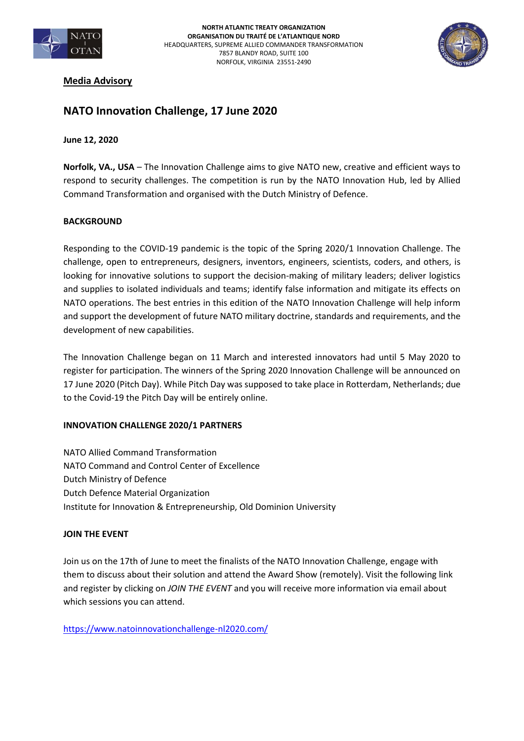



## **Media Advisory**

# **NATO Innovation Challenge, 17 June 2020**

#### **June 12, 2020**

**Norfolk, VA., USA** – The Innovation Challenge aims to give NATO new, creative and efficient ways to respond to security challenges. The competition is run by the NATO Innovation Hub, led by Allied Command Transformation and organised with the Dutch Ministry of Defence.

## **BACKGROUND**

Responding to the COVID-19 pandemic is the topic of the Spring 2020/1 Innovation Challenge. The challenge, open to entrepreneurs, designers, inventors, engineers, scientists, coders, and others, is looking for innovative solutions to support the decision-making of military leaders; deliver logistics and supplies to isolated individuals and teams; identify false information and mitigate its effects on NATO operations. The best entries in this edition of the NATO Innovation Challenge will help inform and support the development of future NATO military doctrine, standards and requirements, and the development of new capabilities.

The Innovation Challenge began on 11 March and interested innovators had until 5 May 2020 to register for participation. The winners of the Spring 2020 Innovation Challenge will be announced on 17 June 2020 (Pitch Day). While Pitch Day was supposed to take place in Rotterdam, Netherlands; due to the Covid-19 the Pitch Day will be entirely online.

#### **INNOVATION CHALLENGE 2020/1 PARTNERS**

NATO Allied Command Transformation NATO Command and Control Center of Excellence Dutch Ministry of Defence Dutch Defence Material Organization Institute for Innovation & Entrepreneurship, Old Dominion University

#### **JOIN THE EVENT**

Join us on the 17th of June to meet the finalists of the NATO Innovation Challenge, engage with them to discuss about their solution and attend the Award Show (remotely). Visit the following link and register by clicking on *JOIN THE EVENT* and you will receive more information via email about which sessions you can attend.

<https://www.natoinnovationchallenge-nl2020.com/>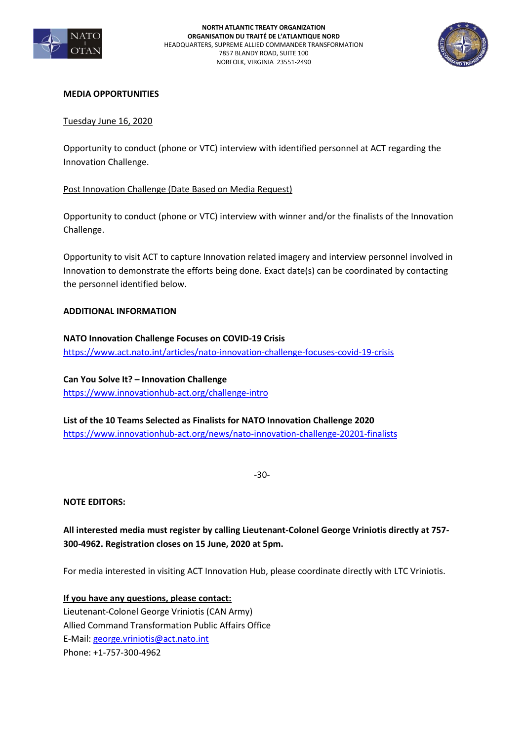



#### **MEDIA OPPORTUNITIES**

## Tuesday June 16, 2020

Opportunity to conduct (phone or VTC) interview with identified personnel at ACT regarding the Innovation Challenge.

## Post Innovation Challenge (Date Based on Media Request)

Opportunity to conduct (phone or VTC) interview with winner and/or the finalists of the Innovation Challenge.

Opportunity to visit ACT to capture Innovation related imagery and interview personnel involved in Innovation to demonstrate the efforts being done. Exact date(s) can be coordinated by contacting the personnel identified below.

## **ADDITIONAL INFORMATION**

**NATO Innovation Challenge Focuses on COVID-19 Crisis** <https://www.act.nato.int/articles/nato-innovation-challenge-focuses-covid-19-crisis>

**Can You Solve It? – Innovation Challenge** <https://www.innovationhub-act.org/challenge-intro>

**List of the 10 Teams Selected as Finalists for NATO Innovation Challenge 2020** <https://www.innovationhub-act.org/news/nato-innovation-challenge-20201-finalists>

-30-

**NOTE EDITORS:**

**All interested media must register by calling Lieutenant-Colonel George Vriniotis directly at 757- 300-4962. Registration closes on 15 June, 2020 at 5pm.** 

For media interested in visiting ACT Innovation Hub, please coordinate directly with LTC Vriniotis.

**If you have any questions, please contact:**  Lieutenant-Colonel George Vriniotis (CAN Army) Allied Command Transformation Public Affairs Office E-Mail: [george.vriniotis@act.nato.int](mailto:george.vriniotis@act.nato.int) Phone: +1-757-300-4962